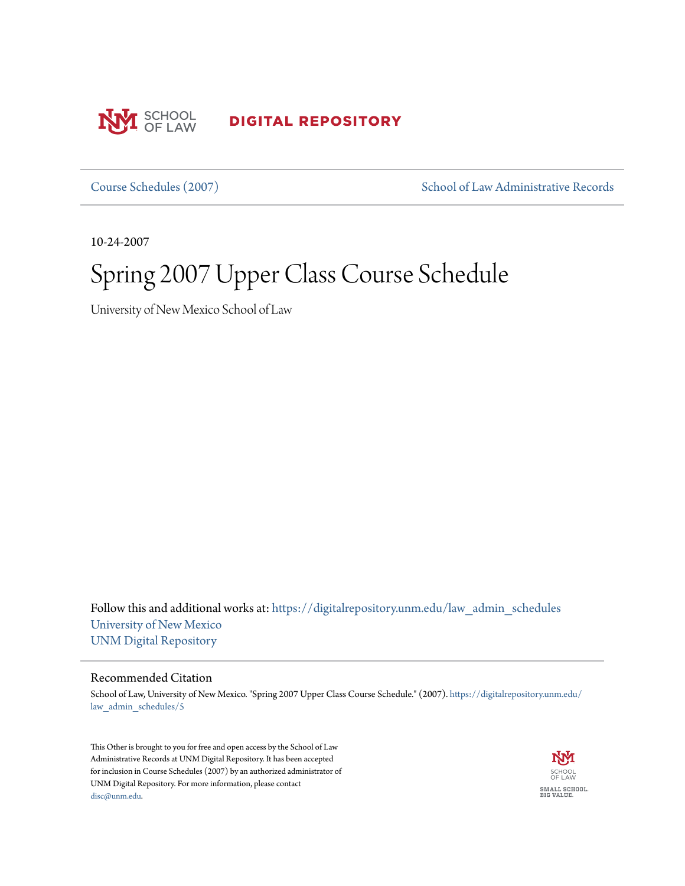

**DIGITAL REPOSITORY** 

[Course Schedules \(2007\)](https://digitalrepository.unm.edu/law_admin_schedules?utm_source=digitalrepository.unm.edu%2Flaw_admin_schedules%2F5&utm_medium=PDF&utm_campaign=PDFCoverPages) [School of Law Administrative Records](https://digitalrepository.unm.edu/law_admin?utm_source=digitalrepository.unm.edu%2Flaw_admin_schedules%2F5&utm_medium=PDF&utm_campaign=PDFCoverPages)

10-24-2007

# Spring 2007 Upper Class Course Schedule

University of New Mexico School of Law

Follow this and additional works at: [https://digitalrepository.unm.edu/law\\_admin\\_schedules](https://digitalrepository.unm.edu/law_admin_schedules?utm_source=digitalrepository.unm.edu%2Flaw_admin_schedules%2F5&utm_medium=PDF&utm_campaign=PDFCoverPages) [University of New Mexico](https://digitalrepository.unm.edu?utm_source=digitalrepository.unm.edu%2Flaw_admin_schedules%2F5&utm_medium=PDF&utm_campaign=PDFCoverPages) [UNM Digital Repository](https://digitalrepository.unm.edu?utm_source=digitalrepository.unm.edu%2Flaw_admin_schedules%2F5&utm_medium=PDF&utm_campaign=PDFCoverPages)

#### Recommended Citation

School of Law, University of New Mexico. "Spring 2007 Upper Class Course Schedule." (2007). [https://digitalrepository.unm.edu/](https://digitalrepository.unm.edu/law_admin_schedules/5?utm_source=digitalrepository.unm.edu%2Flaw_admin_schedules%2F5&utm_medium=PDF&utm_campaign=PDFCoverPages) [law\\_admin\\_schedules/5](https://digitalrepository.unm.edu/law_admin_schedules/5?utm_source=digitalrepository.unm.edu%2Flaw_admin_schedules%2F5&utm_medium=PDF&utm_campaign=PDFCoverPages)

This Other is brought to you for free and open access by the School of Law Administrative Records at UNM Digital Repository. It has been accepted for inclusion in Course Schedules (2007) by an authorized administrator of UNM Digital Repository. For more information, please contact [disc@unm.edu](mailto:disc@unm.edu).

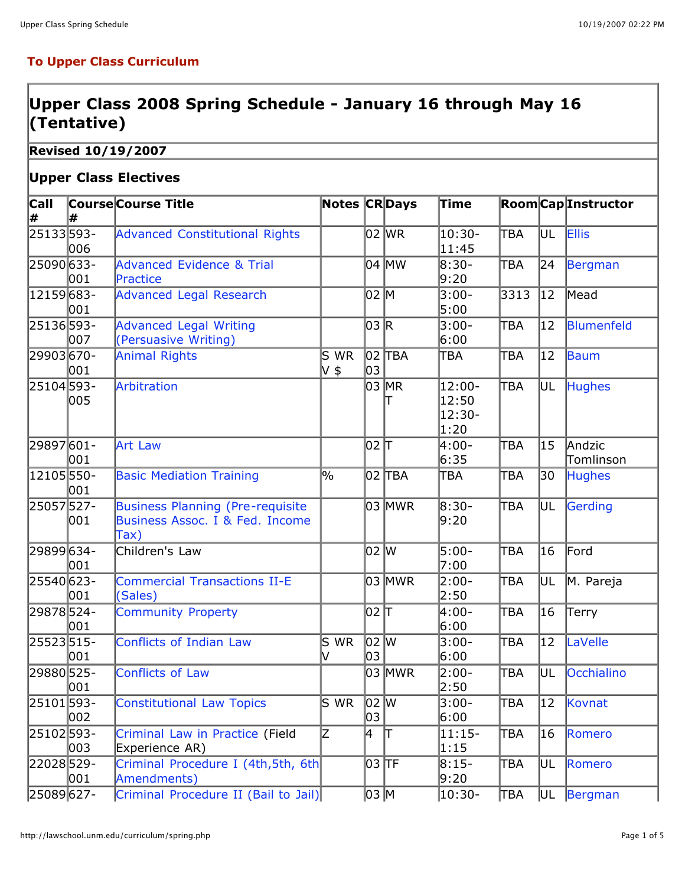### **To Upper Class Curriculum**

## **Upper Class 2008 Spring Schedule - January 16 through May 16 (Tentative)**

**Revised 10/19/2007**

#### **Upper Class Electives**

| <b>Call</b>    |            | <b>Course Course Title</b>                                                         | <b>Notes CRDays</b> |                     |              | Time                              |            |                 | <b>Room</b> CapInstructor |
|----------------|------------|------------------------------------------------------------------------------------|---------------------|---------------------|--------------|-----------------------------------|------------|-----------------|---------------------------|
| ∦<br>25133593- | l#         | <b>Advanced Constitutional Rights</b>                                              |                     |                     | 02 WR        | 10:30-                            | TBA        | UL              | <b>Ellis</b>              |
| 25090633-      | 006        | <b>Advanced Evidence &amp; Trial</b>                                               |                     |                     | 04 MW        | 11:45<br>8:30-                    | TBA        | 24              | Bergman                   |
| 12159683-      | 001<br>001 | Practice<br><b>Advanced Legal Research</b>                                         |                     | 02 M                |              | 9:20<br>$3:00-$<br>5:00           | 3313       | 12              | Mead                      |
| 25136593-      | 007        | <b>Advanced Legal Writing</b><br>(Persuasive Writing)                              |                     | 03 R                |              | 3:00-<br>6:00                     | ТВА        | $ 12\rangle$    | Blumenfeld                |
| 29903670-      | 001        | <b>Animal Rights</b>                                                               | S WR<br>V \$        | 03                  | 02  ТВА      | TBA                               | TBA        | $ 12\rangle$    | Baum                      |
| 25104 593-     | 005        | Arbitration                                                                        |                     |                     | 03 MR        | 12:00-<br>12:50<br>12:30-<br>1:20 | TBA        | UL              | <b>Hughes</b>             |
| 29897601-      | 001        | <b>Art Law</b>                                                                     |                     | 02 T                |              | 4:00-<br>6:35                     | TBA        | 15              | Andzic<br>Tomlinson       |
| 12105550-      | 001        | <b>Basic Mediation Training</b>                                                    | $\frac{9}{6}$       |                     | 02  ТВА      | TBA                               | TBA        | 30              | <b>Hughes</b>             |
| 25057527-      | 001        | <b>Business Planning (Pre-requisite</b><br>Business Assoc. I & Fed. Income<br>Tax) |                     |                     | 03 MWR       | 8:30-<br>9:20                     | TBA        | UL              | Gerding                   |
| 29899 634 -    | 001        | Children's Law                                                                     |                     | 02 W                |              | $5:00-$<br>7:00                   | TBA        | 16              | Ford                      |
| 25540 623-     | 001        | <b>Commercial Transactions II-E</b><br>(Sales)                                     |                     |                     | 03 MWR       | 2:00-<br>2:50                     | <b>TBA</b> | UL              | M. Pareja                 |
| 29878524-      | 001        | <b>Community Property</b>                                                          |                     | 102 T               |              | 4:00-<br>6:00                     | TBA        | 16              | Terry                     |
| 25523515-      | 001        | <b>Conflicts of Indian Law</b>                                                     | $\overline{S}$ WR   | 02 W<br>03          |              | 3:00-<br>6:00                     | TBA        | $\overline{12}$ | LaVelle                   |
| 29880525-      | 001        | <b>Conflicts of Law</b>                                                            |                     |                     | 03 MWR       | 2:00-<br>2:50                     | TBA        | UL              | Occhialino                |
| 25101593-      | 002        | <b>Constitutional Law Topics</b>                                                   | $S$ WR              | 02 W<br>03          |              | 3:00-<br>6:00                     | TBA        | 12              | Kovnat                    |
| 25102593-      | 003        | Criminal Law in Practice (Field<br>Experience AR)                                  | IZ.                 | 4                   | $\mathbb{L}$ | $11:15-$<br> 1:15                 | TBA        | 16              | Romero                    |
| 22028529-      | 001        | Criminal Procedure I (4th, 5th, 6th<br>Amendments)                                 |                     | $\overline{0}$ 3 TF |              | $8:15-$<br>9:20                   | TBA        | UL              | Romero                    |
| 25089627-      |            | Criminal Procedure II (Bail to Jail)                                               |                     | 03  M               |              | 10:30-                            | <b>TBA</b> | UL              | Bergman                   |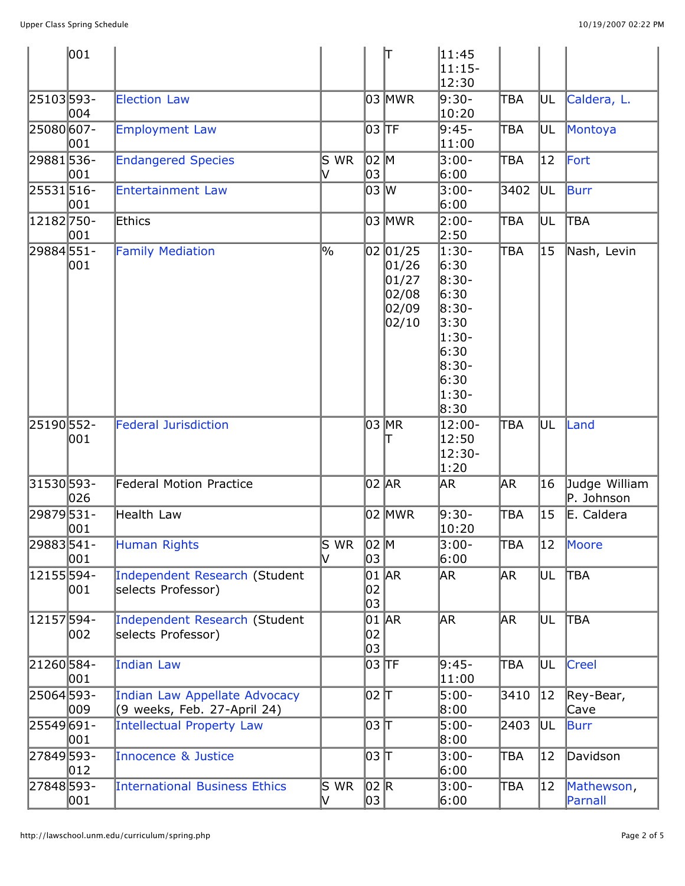|             | 001           |                                                              |                                         |             | lΤ                                                         | 11:45<br>$11:15-$<br>12:30                                                                           |            |              |                             |
|-------------|---------------|--------------------------------------------------------------|-----------------------------------------|-------------|------------------------------------------------------------|------------------------------------------------------------------------------------------------------|------------|--------------|-----------------------------|
| 25103593-   | 004           | <b>Election Law</b>                                          |                                         |             | 03 MWR                                                     | 9:30-<br>10:20                                                                                       | ∏BΑ        | UL           | Caldera, L.                 |
| 25080 607-  | 001           | <b>Employment Law</b>                                        |                                         | 03  TF      |                                                            | 9:45-<br> 11:00                                                                                      | TBA        | UL           | Montoya                     |
| 29881536-   | 001           | <b>Endangered Species</b>                                    | $\mathsf{\overline{S}}$ WR              | 02 M<br>03  |                                                            | 3:00-<br>6:00                                                                                        | TBA        | 12           | Fort                        |
| 25531516-   | 001           | <b>Entertainment Law</b>                                     |                                         | 03 W        |                                                            | $3:00 -$<br>6:00                                                                                     | 3402       | UL           | Burr                        |
| 12182750-   | 001           | Ethics                                                       |                                         |             | 03 MWR                                                     | 2:00-<br>2:50                                                                                        | TBA        | UL           | <b>TBA</b>                  |
| 29884551-   | 001           | <b>Family Mediation</b>                                      | $\frac{9}{6}$                           |             | 02 01/25<br> 01/26 <br> 01/27 <br>02/08<br>02/09<br> 02/10 | 1:30-<br>6:30<br>8:30-<br>6:30<br>8:30-<br>3:30<br>1:30-<br>6:30<br>8:30-<br>6:30<br>$1:30-$<br>8:30 | <b>TBA</b> | 15           | Nash, Levin                 |
| 25190 552-  | 001           | <b>Federal Jurisdiction</b>                                  |                                         |             | 03 MR                                                      | 12:00-<br>12:50<br>12:30-<br> 1:20                                                                   | TBA        | UL           | Land                        |
| 31530 593-  | 026           | <b>Federal Motion Practice</b>                               |                                         |             | 02 AR                                                      | AR.                                                                                                  | AR.        | 16           | Judge William<br>P. Johnson |
| 29879531-   | 001           | Health Law                                                   |                                         |             | 02 MWR                                                     | 9:30-<br>10:20                                                                                       | ∏BΑ        | 15           | E. Caldera                  |
| 29883541-   | 001           | Human Rights                                                 | $\mathsf{S}\mathsf{w}\mathsf{R}$<br>lV. | 02 M<br>03  |                                                            | $3:00 -$<br>6:00                                                                                     | <b>TBA</b> | $ 12\rangle$ | Moore                       |
| 12155594-   | 001           | Independent Research (Student<br>selects Professor)          |                                         | 02<br>03    | $01$ $AR$                                                  | AR.                                                                                                  | AR.        | UL           | <b>TBA</b>                  |
| 12157594-   | 002           | Independent Research (Student<br>selects Professor)          |                                         | 02<br>03    | 01 AR                                                      | ∣AR                                                                                                  | AR.        | UL           | <b>TBA</b>                  |
| 21260584-   | 001           | <b>Indian Law</b>                                            |                                         | 03  TF      |                                                            | 9:45-<br> 11:00                                                                                      | TBA        | UL           | Creel                       |
| 25064593-   | 009           | Indian Law Appellate Advocacy<br>(9 weeks, Feb. 27-April 24) |                                         |             |                                                            | 5:00-<br> 8:00                                                                                       | 3410       | 12           | Rey-Bear,<br>Cave           |
| 25549 691 - | 001           | Intellectual Property Law                                    |                                         | 03   T      |                                                            | $5:00-$<br>8:00                                                                                      | 2403       | UL           | <b>Burr</b>                 |
| 27849 593-  | $ 012\rangle$ | Innocence & Justice                                          |                                         | 03   T      |                                                            | 3:00-<br>6:00                                                                                        | TBA        | 12           | Davidson                    |
| 27848 593-  | 001           | International Business Ethics                                | S WR<br>IV.                             | 02 R<br> 03 |                                                            | $3:00-$<br>6:00                                                                                      | TBA        | 12           | Mathewson,<br>Parnall       |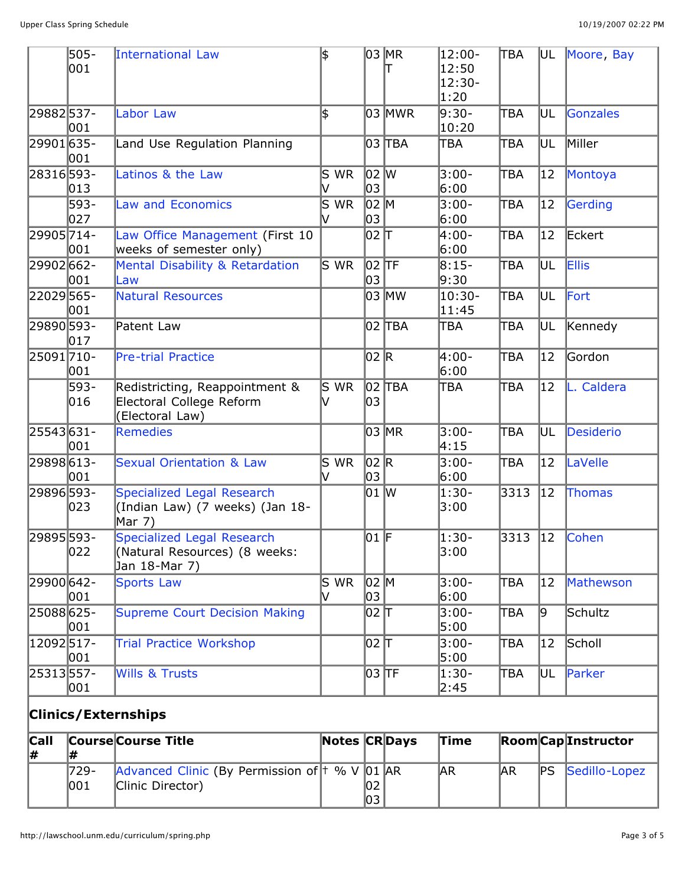|            | 505-<br>001 | International Law                                                             | \$                  |                | 03 MR<br>Τ | 12:00-<br>12:50<br>12:30-<br> 1:20 | <b>TBA</b> |    | UL Moore, Bay |
|------------|-------------|-------------------------------------------------------------------------------|---------------------|----------------|------------|------------------------------------|------------|----|---------------|
| 29882537-  | 001         | <b>Labor Law</b>                                                              | \$                  |                | 03 MWR     | 9:30-<br>10:20                     | TBA        | UL | Gonzales      |
| 29901 635- | 001         | Land Use Regulation Planning                                                  |                     |                | 03  ТВА    | TBA                                | TBA        | UL | Miller        |
| 28316593-  | 013         | Latinos & the Law                                                             | S WR<br>V           | 02 W<br>03     |            | 3:00-<br>6:00                      | TBA        | 12 | Montoya       |
|            | 593-<br>027 | <b>Law and Economics</b>                                                      | S<br><b>WR</b><br>M | $ 02 $ M<br>03 |            | $3:00-$<br>6:00                    | lтва       | 12 | Gerding       |
| 29905714-  | 001         | Law Office Management (First 10<br>weeks of semester only)                    |                     | 02 h           |            | 4:00-<br>6:00                      | ∏ВА        | 12 | Eckert        |
| 29902662-  | 001         | Mental Disability & Retardation<br>Law                                        | $\overline{S}$ WR   | $02$ TF<br>03  |            | $8:15-$<br>9:30                    | TBA        | UL | <b>Ellis</b>  |
| 22029565-  | 001         | <b>Natural Resources</b>                                                      |                     |                | 03 MW      | 10:30-<br>11:45                    | ∏ВА        | UL | Fort          |
| 29890 593- | 017         | Patent Law                                                                    |                     |                | 02  ТВА    | TBA                                | TBA        | UL | Kennedy       |
| 25091710-  | 001         | <b>Pre-trial Practice</b>                                                     |                     | 02 R           |            | 4:00-<br>6:00                      | TBA        | 12 | Gordon        |
|            | 593-<br>016 | Redistricting, Reappointment &<br>Electoral College Reform<br>(Electoral Law) | S WR<br>v           | 03             | 02 TBA     | TBA                                | TBA        | 12 | L. Caldera    |
| 25543631-  | 001         | <b>Remedies</b>                                                               |                     |                | 03 MR      | 3:00-<br>4:15                      | ∣TBA       | UL | Desiderio     |
| 29898613-  | 001         | <b>Sexual Orientation &amp; Law</b>                                           | S WR<br>V           | 02 R<br>03     |            | $3:00-$<br>6:00                    | ∏ВA        | 12 | LaVelle       |
| 29896593-  | 023         | Specialized Legal Research<br>(Indian Law) (7 weeks) (Jan 18-<br>Mar 7)       |                     | 01 W           |            | $1:30-$<br>3:00                    | 3313       | 12 | Thomas        |
| 29895 593- | 022         | Specialized Legal Research<br>(Natural Resources) (8 weeks:<br>Jan 18-Mar 7)  |                     | $ 01 $ F       |            | $1:30-$<br>3:00                    | 3313       | 12 | Cohen         |
| 29900 642- | 001         | <b>Sports Law</b>                                                             | S WR<br>v           | $ 02 $ M<br>03 |            | 3:00-<br>6:00                      | TBA        | 12 | Mathewson     |
| 25088625-  | 001         | <b>Supreme Court Decision Making</b>                                          |                     | 이2 T           |            | 3:00-<br>5:00                      | TBA        | þ. | Schultz       |
| 12092517-  | 001         | <b>Trial Practice Workshop</b>                                                |                     | 02 T           |            | 3:00-<br>5:00                      | TBA        | 12 | Scholl        |
| 25313557-  | 001         | <b>Wills &amp; Trusts</b>                                                     |                     | 03 TF          |            | 1:30-<br>2:45                      | TBA        | UL | Parker        |
|            |             | <b>Clinics/Externships</b>                                                    |                     |                |            |                                    |            |    |               |
|            |             |                                                                               |                     |                |            |                                    |            |    |               |

| Call |      | <b>Course Course Title</b>                       | <b>Notes CRDays</b> |     | Time |     |    | <b>Room</b> CapInstructor |
|------|------|--------------------------------------------------|---------------------|-----|------|-----|----|---------------------------|
| 1#   |      |                                                  |                     |     |      |     |    |                           |
|      | 729- | Advanced Clinic (By Permission of  † % V  01  AR |                     |     | AR   | ΙAR | PS | Sedillo-Lopez             |
|      | 1001 | Clinic Director)                                 |                     | 102 |      |     |    |                           |
|      |      |                                                  |                     | 103 |      |     |    |                           |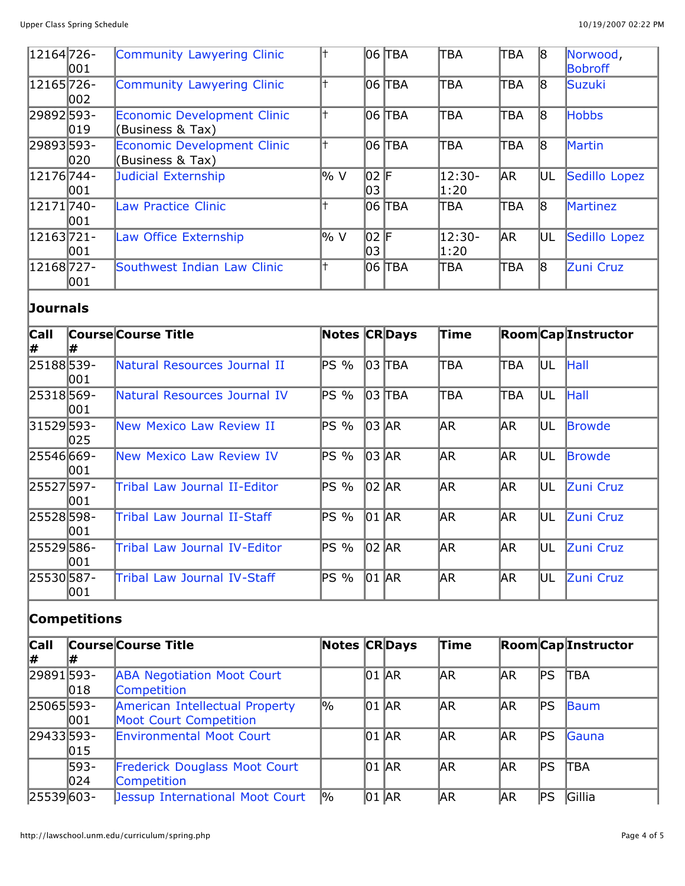| 12164 726- | 001           | Community Lawyering Clinic                             |                 |            | $ 06 $ TBA | <b>TBA</b>         | TBA        | 18  | Norwood,<br>Bobroff |
|------------|---------------|--------------------------------------------------------|-----------------|------------|------------|--------------------|------------|-----|---------------------|
| 12165726-  | 002           | Community Lawyering Clinic                             |                 |            | 06 TBA     | <b>TBA</b>         | ITBA.      | 18  | Suzuki              |
| 29892593-  | $ 019\rangle$ | <b>Economic Development Clinic</b><br>(Business & Tax) |                 |            | 06 TBA     | <b>TBA</b>         | ltba.      | 18  | <b>Hobbs</b>        |
| 29893593-  | 020           | Economic Development Clinic<br>(Business & Tax)        |                 |            | 06 ITBA    | <b>TBA</b>         | ITBA       | 18  | Martin              |
| 12176744-  | 001           | Judicial Externship                                    | $\frac{1}{2}$ V | 02 F<br>03 |            | $12:30-$<br> 1:20  | <b>JAR</b> | UL. | Sedillo Lopez       |
| 12171740-  | 001           | Law Practice Clinic                                    |                 |            | 06 ITBA    | <b>TEA</b>         | ltba       | 18  | Martinez            |
| 12163721-  | 001           | Law Office Externship                                  | l% V            | 02 F<br>03 |            | $ 12:30-$<br> 1:20 | <b>JAR</b> | UL. | Sedillo Lopez       |
| 12168727-  | 001           | Southwest Indian Law Clinic                            |                 |            | 06 TBA     | <b>TBA</b>         | TBA        | 18  | Zuni Cruz           |

## **Journals**

| <b>Call</b><br>l# |      | <b>Course Course Title</b>      | Notes CRDays |       |            | Time |            |      | <b>Room</b> CapInstructor |
|-------------------|------|---------------------------------|--------------|-------|------------|------|------------|------|---------------------------|
| 25188539-         | 1001 | Natural Resources Journal II    | PS %         |       | $ 03 $ TBA | TBA  | TBA        | UL   | Hall                      |
| 25318569-         | 1001 | Natural Resources Journal IV    | PS %         |       | $ 03 $ TBA | ТВА  | TBA        | UL   | Hall                      |
| 31529593-         | 025  | New Mexico Law Review II        | PS %         | 03 AR |            | AR.  | AR.        | IUL. | <b>Browde</b>             |
| 25546 669-        | 001  | <b>New Mexico Law Review IV</b> | PS %         | 03 AR |            | AR.  | AR.        | IUL. | <b>IBrowde</b>            |
| 25527597-         | 001  | Tribal Law Journal II-Editor    | PS %         | 02 AR |            | AR.  | <b>JAR</b> | lul. | Zuni Cruz                 |
| 25528598-         | 1001 | Tribal Law Journal II-Staff     | PS %         | 01 AR |            | AR.  | <b>JAR</b> | UL   | Zuni Cruz                 |
| 25529586-         | 001  | Tribal Law Journal IV-Editor    | PS %         | 02 AR |            | AR.  | <b>JAR</b> | UL   | Zuni Cruz                 |
| 25530587-         | 001  | Tribal Law Journal IV-Staff     | PS %         | 01 AR |            | AR.  | AR.        | UL   | Zuni Cruz                 |

## **Competitions**

| <b>Call</b> |      | <b>Course Course Title</b>             | <b>Notes CRDays</b> |           | <b>Time</b> |            |               | <b>Room</b> CapInstructor |
|-------------|------|----------------------------------------|---------------------|-----------|-------------|------------|---------------|---------------------------|
| 1#          |      |                                        |                     |           |             |            |               |                           |
| 29891593-   |      | <b>ABA Negotiation Moot Court</b>      |                     | 01 AR     | AR          | <b>JAR</b> | ∣PS           | <b>ITBA</b>               |
|             | 018  | Competition                            |                     |           |             |            |               |                           |
| 25065593-   |      | American Intellectual Property         | %                   | 01 AR     | AR          | <b>JAR</b> | $\mathsf{PS}$ | Baum                      |
|             | 001  | Moot Court Competition                 |                     |           |             |            |               |                           |
| 29433593-   |      | <b>Environmental Moot Court</b>        |                     | $01$ $AR$ | ΙAR         | <b>JAR</b> | ∣PS           | Gauna                     |
|             | 015  |                                        |                     |           |             |            |               |                           |
|             | 593- | <b>Frederick Douglass Moot Court</b>   |                     | $01$ $AR$ | AR          | <b>JAR</b> | ∣PS           | <b>ITBA</b>               |
|             | 024  | <b>Competition</b>                     |                     |           |             |            |               |                           |
| 25539603-   |      | <b>Jessup International Moot Court</b> | 1%                  | 01 AR     | AR          | ΙAR        | ∣PS           | Gillia                    |